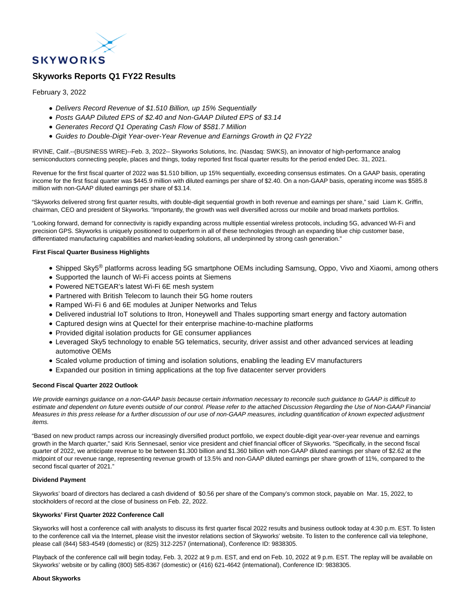

# **Skyworks Reports Q1 FY22 Results**

February 3, 2022

- Delivers Record Revenue of \$1.510 Billion, up 15% Sequentially
- Posts GAAP Diluted EPS of \$2.40 and Non-GAAP Diluted EPS of \$3.14
- Generates Record Q1 Operating Cash Flow of \$581.7 Million
- Guides to Double-Digit Year-over-Year Revenue and Earnings Growth in Q2 FY22

IRVINE, Calif.--(BUSINESS WIRE)--Feb. 3, 2022-- Skyworks Solutions, Inc. (Nasdaq: SWKS), an innovator of high-performance analog semiconductors connecting people, places and things, today reported first fiscal quarter results for the period ended Dec. 31, 2021.

Revenue for the first fiscal quarter of 2022 was \$1.510 billion, up 15% sequentially, exceeding consensus estimates. On a GAAP basis, operating income for the first fiscal quarter was \$445.9 million with diluted earnings per share of \$2.40. On a non-GAAP basis, operating income was \$585.8 million with non-GAAP diluted earnings per share of \$3.14.

"Skyworks delivered strong first quarter results, with double-digit sequential growth in both revenue and earnings per share," said Liam K. Griffin, chairman, CEO and president of Skyworks. "Importantly, the growth was well diversified across our mobile and broad markets portfolios.

"Looking forward, demand for connectivity is rapidly expanding across multiple essential wireless protocols, including 5G, advanced Wi-Fi and precision GPS. Skyworks is uniquely positioned to outperform in all of these technologies through an expanding blue chip customer base, differentiated manufacturing capabilities and market-leading solutions, all underpinned by strong cash generation."

## **First Fiscal Quarter Business Highlights**

- Shipped Sky5<sup>®</sup> platforms across leading 5G smartphone OEMs including Samsung, Oppo, Vivo and Xiaomi, among others
- Supported the launch of Wi-Fi access points at Siemens
- Powered NETGEAR's latest Wi-Fi 6E mesh system
- Partnered with British Telecom to launch their 5G home routers
- Ramped Wi-Fi 6 and 6E modules at Juniper Networks and Telus
- Delivered industrial IoT solutions to Itron, Honeywell and Thales supporting smart energy and factory automation
- Captured design wins at Quectel for their enterprise machine-to-machine platforms
- Provided digital isolation products for GE consumer appliances
- Leveraged Sky5 technology to enable 5G telematics, security, driver assist and other advanced services at leading automotive OEMs
- Scaled volume production of timing and isolation solutions, enabling the leading EV manufacturers
- Expanded our position in timing applications at the top five datacenter server providers

## **Second Fiscal Quarter 2022 Outlook**

We provide earnings guidance on a non-GAAP basis because certain information necessary to reconcile such guidance to GAAP is difficult to estimate and dependent on future events outside of our control. Please refer to the attached Discussion Regarding the Use of Non-GAAP Financial Measures in this press release for a further discussion of our use of non-GAAP measures, including quantification of known expected adjustment items.

"Based on new product ramps across our increasingly diversified product portfolio, we expect double-digit year-over-year revenue and earnings growth in the March quarter," said Kris Sennesael, senior vice president and chief financial officer of Skyworks. "Specifically, in the second fiscal quarter of 2022, we anticipate revenue to be between \$1.300 billion and \$1.360 billion with non-GAAP diluted earnings per share of \$2.62 at the midpoint of our revenue range, representing revenue growth of 13.5% and non-GAAP diluted earnings per share growth of 11%, compared to the second fiscal quarter of 2021."

## **Dividend Payment**

Skyworks' board of directors has declared a cash dividend of \$0.56 per share of the Company's common stock, payable on Mar. 15, 2022, to stockholders of record at the close of business on Feb. 22, 2022.

## **Skyworks' First Quarter 2022 Conference Call**

Skyworks will host a conference call with analysts to discuss its first quarter fiscal 2022 results and business outlook today at 4:30 p.m. EST. To listen to the conference call via the Internet, please visit the investor relations section of Skyworks' website. To listen to the conference call via telephone, please call (844) 583-4549 (domestic) or (825) 312-2257 (international), Conference ID: 9838305.

Playback of the conference call will begin today, Feb. 3, 2022 at 9 p.m. EST, and end on Feb. 10, 2022 at 9 p.m. EST. The replay will be available on Skyworks' website or by calling (800) 585-8367 (domestic) or (416) 621-4642 (international), Conference ID: 9838305.

## **About Skyworks**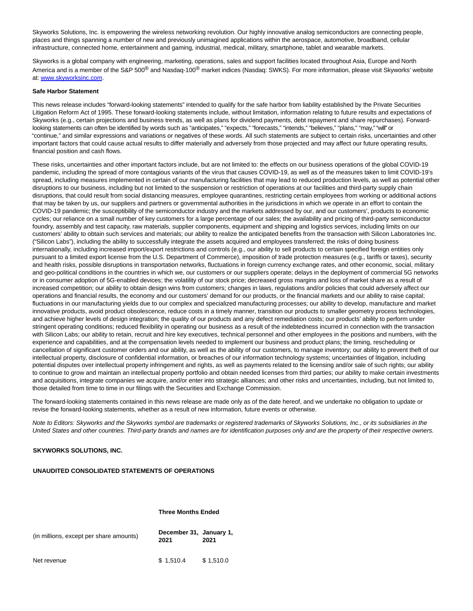Skyworks Solutions, Inc. is empowering the wireless networking revolution. Our highly innovative analog semiconductors are connecting people, places and things spanning a number of new and previously unimagined applications within the aerospace, automotive, broadband, cellular infrastructure, connected home, entertainment and gaming, industrial, medical, military, smartphone, tablet and wearable markets.

Skyworks is a global company with engineering, marketing, operations, sales and support facilities located throughout Asia, Europe and North America and is a member of the S&P 500<sup>®</sup> and Nasdaq-100<sup>®</sup> market indices (Nasdaq: SWKS). For more information, please visit Skyworks' website at: [www.skyworksinc.com.](http://www.skyworksinc.com/)

## **Safe Harbor Statement**

This news release includes "forward-looking statements" intended to qualify for the safe harbor from liability established by the Private Securities Litigation Reform Act of 1995. These forward-looking statements include, without limitation, information relating to future results and expectations of Skyworks (e.g., certain projections and business trends, as well as plans for dividend payments, debt repayment and share repurchases). Forwardlooking statements can often be identified by words such as "anticipates," "expects," "forecasts," "intends," "believes," "plans," "may," "will" or "continue," and similar expressions and variations or negatives of these words. All such statements are subject to certain risks, uncertainties and other important factors that could cause actual results to differ materially and adversely from those projected and may affect our future operating results, financial position and cash flows.

These risks, uncertainties and other important factors include, but are not limited to: the effects on our business operations of the global COVID-19 pandemic, including the spread of more contagious variants of the virus that causes COVID-19, as well as of the measures taken to limit COVID-19's spread, including measures implemented in certain of our manufacturing facilities that may lead to reduced production levels, as well as potential other disruptions to our business, including but not limited to the suspension or restriction of operations at our facilities and third-party supply chain disruptions, that could result from social distancing measures, employee quarantines, restricting certain employees from working or additional actions that may be taken by us, our suppliers and partners or governmental authorities in the jurisdictions in which we operate in an effort to contain the COVID-19 pandemic; the susceptibility of the semiconductor industry and the markets addressed by our, and our customers', products to economic cycles; our reliance on a small number of key customers for a large percentage of our sales; the availability and pricing of third-party semiconductor foundry, assembly and test capacity, raw materials, supplier components, equipment and shipping and logistics services, including limits on our customers' ability to obtain such services and materials; our ability to realize the anticipated benefits from the transaction with Silicon Laboratories Inc. ("Silicon Labs"), including the ability to successfully integrate the assets acquired and employees transferred; the risks of doing business internationally, including increased import/export restrictions and controls (e.g., our ability to sell products to certain specified foreign entities only pursuant to a limited export license from the U.S. Department of Commerce), imposition of trade protection measures (e.g., tariffs or taxes), security and health risks, possible disruptions in transportation networks, fluctuations in foreign currency exchange rates, and other economic, social, military and geo-political conditions in the countries in which we, our customers or our suppliers operate; delays in the deployment of commercial 5G networks or in consumer adoption of 5G-enabled devices; the volatility of our stock price; decreased gross margins and loss of market share as a result of increased competition; our ability to obtain design wins from customers; changes in laws, regulations and/or policies that could adversely affect our operations and financial results, the economy and our customers' demand for our products, or the financial markets and our ability to raise capital; fluctuations in our manufacturing yields due to our complex and specialized manufacturing processes; our ability to develop, manufacture and market innovative products, avoid product obsolescence, reduce costs in a timely manner, transition our products to smaller geometry process technologies, and achieve higher levels of design integration; the quality of our products and any defect remediation costs; our products' ability to perform under stringent operating conditions; reduced flexibility in operating our business as a result of the indebtedness incurred in connection with the transaction with Silicon Labs; our ability to retain, recruit and hire key executives, technical personnel and other employees in the positions and numbers, with the experience and capabilities, and at the compensation levels needed to implement our business and product plans; the timing, rescheduling or cancellation of significant customer orders and our ability, as well as the ability of our customers, to manage inventory; our ability to prevent theft of our intellectual property, disclosure of confidential information, or breaches of our information technology systems; uncertainties of litigation, including potential disputes over intellectual property infringement and rights, as well as payments related to the licensing and/or sale of such rights; our ability to continue to grow and maintain an intellectual property portfolio and obtain needed licenses from third parties; our ability to make certain investments and acquisitions, integrate companies we acquire, and/or enter into strategic alliances; and other risks and uncertainties, including, but not limited to, those detailed from time to time in our filings with the Securities and Exchange Commission.

The forward-looking statements contained in this news release are made only as of the date hereof, and we undertake no obligation to update or revise the forward-looking statements, whether as a result of new information, future events or otherwise.

Note to Editors: Skyworks and the Skyworks symbol are trademarks or registered trademarks of Skyworks Solutions, Inc., or its subsidiaries in the United States and other countries. Third-party brands and names are for identification purposes only and are the property of their respective owners.

# **SKYWORKS SOLUTIONS, INC.**

# **UNAUDITED CONSOLIDATED STATEMENTS OF OPERATIONS**

#### **Three Months Ended**

| (in millions, except per share amounts) | December 31, January 1,<br>2021 | 2021      |
|-----------------------------------------|---------------------------------|-----------|
| Net revenue                             | \$1.510.4                       | \$1.510.0 |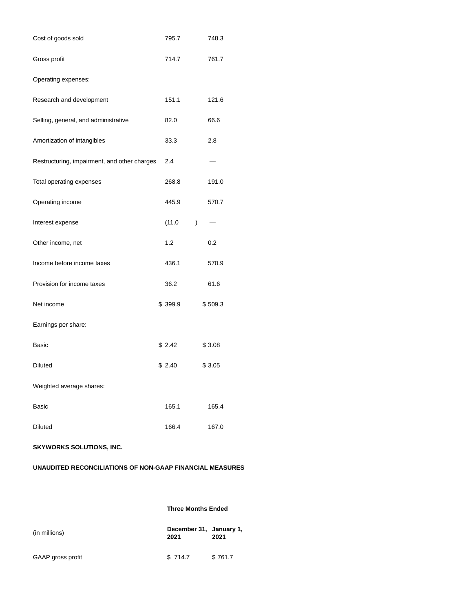| Cost of goods sold                           | 795.7   |               | 748.3   |
|----------------------------------------------|---------|---------------|---------|
| Gross profit                                 | 714.7   |               | 761.7   |
| Operating expenses:                          |         |               |         |
| Research and development                     | 151.1   |               | 121.6   |
| Selling, general, and administrative         | 82.0    |               | 66.6    |
| Amortization of intangibles                  | 33.3    |               | 2.8     |
| Restructuring, impairment, and other charges | 2.4     |               |         |
| Total operating expenses                     | 268.8   |               | 191.0   |
| Operating income                             | 445.9   |               | 570.7   |
| Interest expense                             | (11.0   | $\mathcal{L}$ |         |
| Other income, net                            | 1.2     |               | 0.2     |
| Income before income taxes                   | 436.1   |               | 570.9   |
| Provision for income taxes                   | 36.2    |               | 61.6    |
| Net income                                   | \$399.9 |               | \$509.3 |
| Earnings per share:                          |         |               |         |
| Basic                                        | \$2.42  |               | \$3.08  |
| <b>Diluted</b>                               | \$2.40  |               | \$3.05  |
| Weighted average shares:                     |         |               |         |
| <b>Basic</b>                                 | 165.1   |               | 165.4   |
| <b>Diluted</b>                               | 166.4   |               | 167.0   |

**SKYWORKS SOLUTIONS, INC.**

# **UNAUDITED RECONCILIATIONS OF NON-GAAP FINANCIAL MEASURES**

# **Three Months Ended**

| (in millions)     | December 31, January 1,<br>2021 | 2021    |
|-------------------|---------------------------------|---------|
| GAAP gross profit | \$714.7                         | \$761.7 |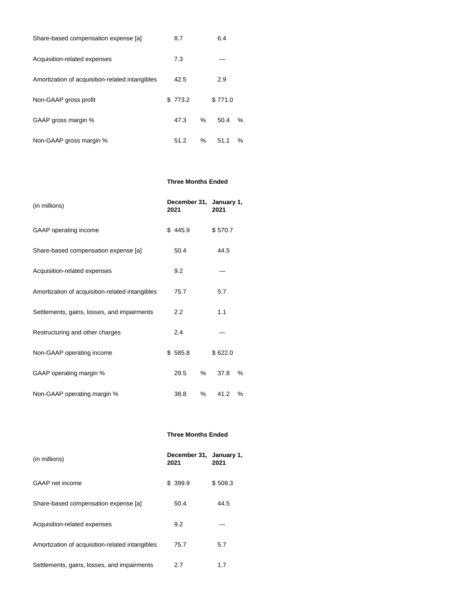| Share-based compensation expense [a]            | 8.7     |   | 6.4     |   |
|-------------------------------------------------|---------|---|---------|---|
| Acquisition-related expenses                    | 7.3     |   |         |   |
| Amortization of acquisition-related intangibles | 42.5    |   | 2.9     |   |
| Non-GAAP gross profit                           | \$773.2 |   | \$771.0 |   |
| GAAP gross margin %                             | 47.3    | % | 50.4    | % |
| Non-GAAP gross margin %                         | 51.2    | % | 51.1    | % |

# **Three Months Ended**

| (in millions)                                   | December 31, January 1,<br>2021 |         |   | 2021    |      |  |
|-------------------------------------------------|---------------------------------|---------|---|---------|------|--|
| GAAP operating income                           |                                 | \$445.9 |   | \$570.7 |      |  |
| Share-based compensation expense [a]            |                                 | 50.4    |   | 44.5    |      |  |
| Acquisition-related expenses                    |                                 | 9.2     |   |         |      |  |
| Amortization of acquisition-related intangibles |                                 | 75.7    |   | 5.7     |      |  |
| Settlements, gains, losses, and impairments     |                                 | 2.2     |   | 1.1     |      |  |
| Restructuring and other charges                 |                                 | 2.4     |   |         |      |  |
| Non-GAAP operating income                       |                                 | \$585.8 |   | \$622.0 |      |  |
| GAAP operating margin %                         |                                 | 29.5    | % | 37.8    | $\%$ |  |
| Non-GAAP operating margin %                     |                                 | 38.8    | % | 41.2    | %    |  |

# **Three Months Ended**

| (in millions)                                   | December 31, January 1,<br>2021 |  | 2021    |
|-------------------------------------------------|---------------------------------|--|---------|
| GAAP net income                                 | \$399.9                         |  | \$509.3 |
| Share-based compensation expense [a]            | 50.4                            |  | 44.5    |
| Acquisition-related expenses                    | 9.2                             |  |         |
| Amortization of acquisition-related intangibles | 75.7                            |  | 5.7     |
| Settlements, gains, losses, and impairments     | 2.7                             |  | 1.7     |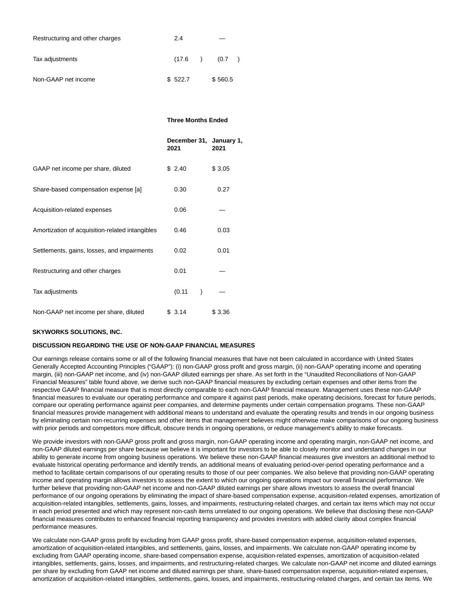| Restructuring and other charges | 2.4     |           |         |  |  |  |  |
|---------------------------------|---------|-----------|---------|--|--|--|--|
| Tax adjustments                 | (17.6)  | $\lambda$ | (0.7)   |  |  |  |  |
| Non-GAAP net income             | \$522.7 |           | \$560.5 |  |  |  |  |

## **Three Months Ended**

|                                                 | December 31, January 1,<br>2021 | 2021    |
|-------------------------------------------------|---------------------------------|---------|
| GAAP net income per share, diluted              | \$2.40                          | \$ 3.05 |
| Share-based compensation expense [a]            | 0.30                            | 0.27    |
| Acquisition-related expenses                    | 0.06                            |         |
| Amortization of acquisition-related intangibles | 0.46                            | 0.03    |
| Settlements, gains, losses, and impairments     | 0.02                            | 0.01    |
| Restructuring and other charges                 | 0.01                            |         |
| Tax adjustments                                 | (0.11)<br>$\mathcal{E}$         |         |
| Non-GAAP net income per share, diluted          | \$3.14                          | \$3.36  |

## **SKYWORKS SOLUTIONS, INC.**

## **DISCUSSION REGARDING THE USE OF NON-GAAP FINANCIAL MEASURES**

Our earnings release contains some or all of the following financial measures that have not been calculated in accordance with United States Generally Accepted Accounting Principles ("GAAP"): (i) non-GAAP gross profit and gross margin, (ii) non-GAAP operating income and operating margin, (iii) non-GAAP net income, and (iv) non-GAAP diluted earnings per share. As set forth in the "Unaudited Reconciliations of Non-GAAP Financial Measures" table found above, we derive such non-GAAP financial measures by excluding certain expenses and other items from the respective GAAP financial measure that is most directly comparable to each non-GAAP financial measure. Management uses these non-GAAP financial measures to evaluate our operating performance and compare it against past periods, make operating decisions, forecast for future periods, compare our operating performance against peer companies, and determine payments under certain compensation programs. These non-GAAP financial measures provide management with additional means to understand and evaluate the operating results and trends in our ongoing business by eliminating certain non-recurring expenses and other items that management believes might otherwise make comparisons of our ongoing business with prior periods and competitors more difficult, obscure trends in ongoing operations, or reduce management's ability to make forecasts.

We provide investors with non-GAAP gross profit and gross margin, non-GAAP operating income and operating margin, non-GAAP net income, and non-GAAP diluted earnings per share because we believe it is important for investors to be able to closely monitor and understand changes in our ability to generate income from ongoing business operations. We believe these non-GAAP financial measures give investors an additional method to evaluate historical operating performance and identify trends, an additional means of evaluating period-over-period operating performance and a method to facilitate certain comparisons of our operating results to those of our peer companies. We also believe that providing non-GAAP operating income and operating margin allows investors to assess the extent to which our ongoing operations impact our overall financial performance. We further believe that providing non-GAAP net income and non-GAAP diluted earnings per share allows investors to assess the overall financial performance of our ongoing operations by eliminating the impact of share-based compensation expense, acquisition-related expenses, amortization of acquisition-related intangibles, settlements, gains, losses, and impairments, restructuring-related charges, and certain tax items which may not occur in each period presented and which may represent non-cash items unrelated to our ongoing operations. We believe that disclosing these non-GAAP financial measures contributes to enhanced financial reporting transparency and provides investors with added clarity about complex financial performance measures.

We calculate non-GAAP gross profit by excluding from GAAP gross profit, share-based compensation expense, acquisition-related expenses, amortization of acquisition-related intangibles, and settlements, gains, losses, and impairments. We calculate non-GAAP operating income by excluding from GAAP operating income, share-based compensation expense, acquisition-related expenses, amortization of acquisition-related intangibles, settlements, gains, losses, and impairments, and restructuring-related charges. We calculate non-GAAP net income and diluted earnings per share by excluding from GAAP net income and diluted earnings per share, share-based compensation expense, acquisition-related expenses, amortization of acquisition-related intangibles, settlements, gains, losses, and impairments, restructuring-related charges, and certain tax items. We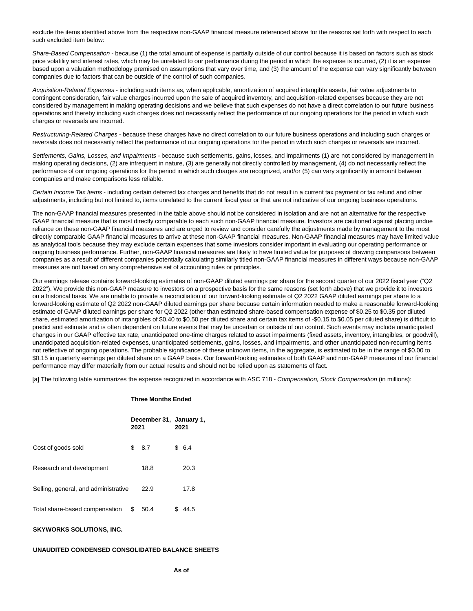exclude the items identified above from the respective non-GAAP financial measure referenced above for the reasons set forth with respect to each such excluded item below:

Share-Based Compensation - because (1) the total amount of expense is partially outside of our control because it is based on factors such as stock price volatility and interest rates, which may be unrelated to our performance during the period in which the expense is incurred, (2) it is an expense based upon a valuation methodology premised on assumptions that vary over time, and (3) the amount of the expense can vary significantly between companies due to factors that can be outside of the control of such companies.

Acquisition-Related Expenses - including such items as, when applicable, amortization of acquired intangible assets, fair value adjustments to contingent consideration, fair value charges incurred upon the sale of acquired inventory, and acquisition-related expenses because they are not considered by management in making operating decisions and we believe that such expenses do not have a direct correlation to our future business operations and thereby including such charges does not necessarily reflect the performance of our ongoing operations for the period in which such charges or reversals are incurred.

Restructuring-Related Charges - because these charges have no direct correlation to our future business operations and including such charges or reversals does not necessarily reflect the performance of our ongoing operations for the period in which such charges or reversals are incurred.

Settlements, Gains, Losses, and Impairments - because such settlements, gains, losses, and impairments (1) are not considered by management in making operating decisions, (2) are infrequent in nature, (3) are generally not directly controlled by management, (4) do not necessarily reflect the performance of our ongoing operations for the period in which such charges are recognized, and/or (5) can vary significantly in amount between companies and make comparisons less reliable.

Certain Income Tax Items - including certain deferred tax charges and benefits that do not result in a current tax payment or tax refund and other adjustments, including but not limited to, items unrelated to the current fiscal year or that are not indicative of our ongoing business operations.

The non-GAAP financial measures presented in the table above should not be considered in isolation and are not an alternative for the respective GAAP financial measure that is most directly comparable to each such non-GAAP financial measure. Investors are cautioned against placing undue reliance on these non-GAAP financial measures and are urged to review and consider carefully the adjustments made by management to the most directly comparable GAAP financial measures to arrive at these non-GAAP financial measures. Non-GAAP financial measures may have limited value as analytical tools because they may exclude certain expenses that some investors consider important in evaluating our operating performance or ongoing business performance. Further, non-GAAP financial measures are likely to have limited value for purposes of drawing comparisons between companies as a result of different companies potentially calculating similarly titled non-GAAP financial measures in different ways because non-GAAP measures are not based on any comprehensive set of accounting rules or principles.

Our earnings release contains forward-looking estimates of non-GAAP diluted earnings per share for the second quarter of our 2022 fiscal year ("Q2 2022"). We provide this non-GAAP measure to investors on a prospective basis for the same reasons (set forth above) that we provide it to investors on a historical basis. We are unable to provide a reconciliation of our forward-looking estimate of Q2 2022 GAAP diluted earnings per share to a forward-looking estimate of Q2 2022 non-GAAP diluted earnings per share because certain information needed to make a reasonable forward-looking estimate of GAAP diluted earnings per share for Q2 2022 (other than estimated share-based compensation expense of \$0.25 to \$0.35 per diluted share, estimated amortization of intangibles of \$0.40 to \$0.50 per diluted share and certain tax items of -\$0.15 to \$0.05 per diluted share) is difficult to predict and estimate and is often dependent on future events that may be uncertain or outside of our control. Such events may include unanticipated changes in our GAAP effective tax rate, unanticipated one-time charges related to asset impairments (fixed assets, inventory, intangibles, or goodwill), unanticipated acquisition-related expenses, unanticipated settlements, gains, losses, and impairments, and other unanticipated non-recurring items not reflective of ongoing operations. The probable significance of these unknown items, in the aggregate, is estimated to be in the range of \$0.00 to \$0.15 in quarterly earnings per diluted share on a GAAP basis. Our forward-looking estimates of both GAAP and non-GAAP measures of our financial performance may differ materially from our actual results and should not be relied upon as statements of fact.

[a] The following table summarizes the expense recognized in accordance with ASC 718 - Compensation, Stock Compensation (in millions):

## **Three Months Ended**

|                                      | 2021 | December 31, January 1, | 2021      |
|--------------------------------------|------|-------------------------|-----------|
| Cost of goods sold                   | \$   | 8.7                     | \$<br>6.4 |
| Research and development             |      | 18.8                    | 20.3      |
| Selling, general, and administrative |      | 22.9                    | 17.8      |
| Total share-based compensation       | \$   | 50.4                    | 44.5      |
|                                      |      |                         |           |

**SKYWORKS SOLUTIONS, INC.**

## **UNAUDITED CONDENSED CONSOLIDATED BALANCE SHEETS**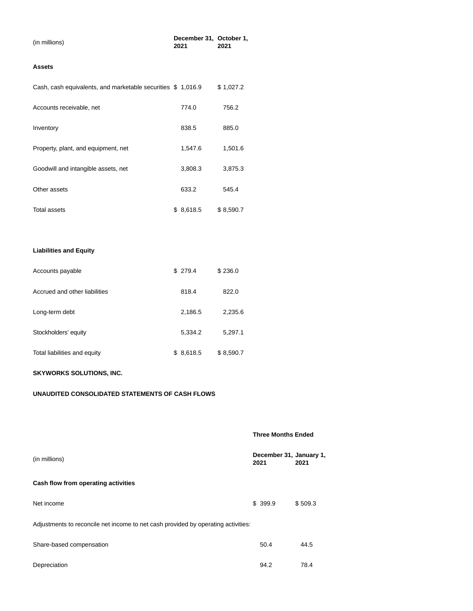| (in millions)                                                                     | December 31, October 1,<br>2021 | 2021      |                                 |         |
|-----------------------------------------------------------------------------------|---------------------------------|-----------|---------------------------------|---------|
| <b>Assets</b>                                                                     |                                 |           |                                 |         |
| Cash, cash equivalents, and marketable securities \$ 1,016.9                      |                                 | \$1,027.2 |                                 |         |
| Accounts receivable, net                                                          | 774.0                           | 756.2     |                                 |         |
| Inventory                                                                         | 838.5                           | 885.0     |                                 |         |
| Property, plant, and equipment, net                                               | 1,547.6                         | 1,501.6   |                                 |         |
| Goodwill and intangible assets, net                                               | 3,808.3                         | 3,875.3   |                                 |         |
| Other assets                                                                      | 633.2                           | 545.4     |                                 |         |
| <b>Total assets</b>                                                               | \$8,618.5                       | \$8,590.7 |                                 |         |
|                                                                                   |                                 |           |                                 |         |
| <b>Liabilities and Equity</b>                                                     |                                 |           |                                 |         |
| Accounts payable                                                                  | \$279.4                         | \$236.0   |                                 |         |
| Accrued and other liabilities                                                     | 818.4                           | 822.0     |                                 |         |
| Long-term debt                                                                    | 2,186.5                         | 2,235.6   |                                 |         |
| Stockholders' equity                                                              | 5,334.2                         | 5,297.1   |                                 |         |
| Total liabilities and equity                                                      | \$8,618.5                       | \$8,590.7 |                                 |         |
| <b>SKYWORKS SOLUTIONS, INC.</b>                                                   |                                 |           |                                 |         |
| UNAUDITED CONSOLIDATED STATEMENTS OF CASH FLOWS                                   |                                 |           |                                 |         |
|                                                                                   |                                 |           |                                 |         |
|                                                                                   |                                 |           | <b>Three Months Ended</b>       |         |
| (in millions)                                                                     |                                 |           | December 31, January 1,<br>2021 | 2021    |
| Cash flow from operating activities                                               |                                 |           |                                 |         |
| Net income                                                                        |                                 |           | \$399.9                         | \$509.3 |
| Adjustments to reconcile net income to net cash provided by operating activities: |                                 |           |                                 |         |
| Share-based compensation                                                          |                                 |           | 50.4                            | 44.5    |
| Depreciation                                                                      |                                 |           | 94.2                            | 78.4    |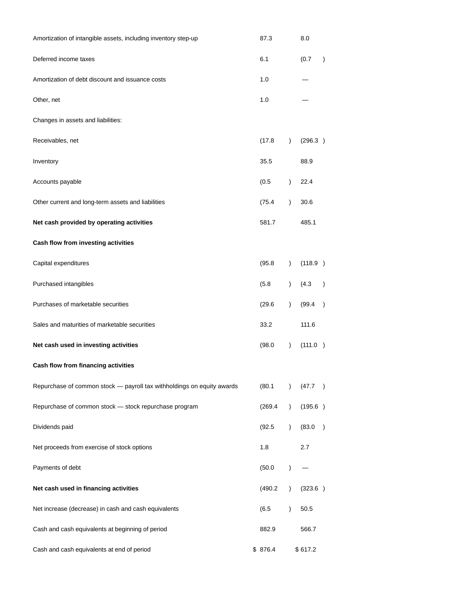| Amortization of intangible assets, including inventory step-up         | 87.3     |               | 8.0     |               |
|------------------------------------------------------------------------|----------|---------------|---------|---------------|
| Deferred income taxes                                                  | 6.1      |               | (0.7)   | $\mathcal{L}$ |
| Amortization of debt discount and issuance costs                       | 1.0      |               |         |               |
| Other, net                                                             | 1.0      |               |         |               |
| Changes in assets and liabilities:                                     |          |               |         |               |
| Receivables, net                                                       | (17.8)   | $\lambda$     | (296.3) |               |
| Inventory                                                              | 35.5     |               | 88.9    |               |
| Accounts payable                                                       | (0.5)    | $\mathcal{L}$ | 22.4    |               |
| Other current and long-term assets and liabilities                     | (75.4)   | $\lambda$     | 30.6    |               |
| Net cash provided by operating activities                              | 581.7    |               | 485.1   |               |
| Cash flow from investing activities                                    |          |               |         |               |
| Capital expenditures                                                   | (95.8)   | $\lambda$     | (118.9) |               |
| Purchased intangibles                                                  | (5.8)    | $\lambda$     | (4.3)   | $\lambda$     |
| Purchases of marketable securities                                     | (29.6)   | $\lambda$     | (99.4)  | $\rightarrow$ |
| Sales and maturities of marketable securities                          | 33.2     |               | 111.6   |               |
| Net cash used in investing activities                                  | (98.0)   | $\lambda$     | (111.0) |               |
| Cash flow from financing activities                                    |          |               |         |               |
| Repurchase of common stock - payroll tax withholdings on equity awards | (80.1)   | $\lambda$     | (47.7)  | $\rightarrow$ |
| Repurchase of common stock - stock repurchase program                  | (269.4)  | $\lambda$     | (195.6) |               |
| Dividends paid                                                         | (92.5)   | $\mathcal{L}$ | (83.0)  | $\rightarrow$ |
| Net proceeds from exercise of stock options                            | 1.8      |               | 2.7     |               |
| Payments of debt                                                       | (50.0)   | $\lambda$     |         |               |
| Net cash used in financing activities                                  | (490.2)  | $\lambda$     | (323.6) |               |
| Net increase (decrease) in cash and cash equivalents                   | (6.5)    | $\mathcal{E}$ | 50.5    |               |
| Cash and cash equivalents at beginning of period                       | 882.9    |               | 566.7   |               |
| Cash and cash equivalents at end of period                             | \$ 876.4 |               | \$617.2 |               |